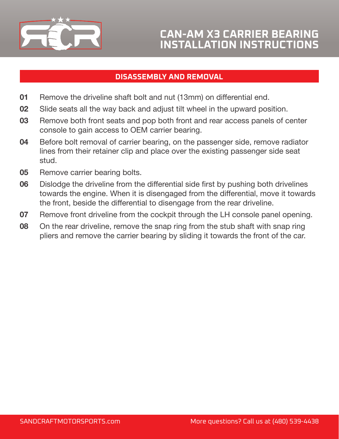

## **DISASSEMBLY AND REMOVAL**

- **01** Remove the driveline shaft bolt and nut (13mm) on differential end.
- **02** Slide seats all the way back and adjust tilt wheel in the upward position.
- **03** Remove both front seats and pop both front and rear access panels of center console to gain access to OEM carrier bearing.
- **04** Before bolt removal of carrier bearing, on the passenger side, remove radiator lines from their retainer clip and place over the existing passenger side seat stud.
- **05** Remove carrier bearing bolts.
- **06** Dislodge the driveline from the differential side first by pushing both drivelines towards the engine. When it is disengaged from the differential, move it towards the front, beside the differential to disengage from the rear driveline.
- **07** Remove front driveline from the cockpit through the LH console panel opening.
- **08** On the rear driveline, remove the snap ring from the stub shaft with snap ring pliers and remove the carrier bearing by sliding it towards the front of the car.